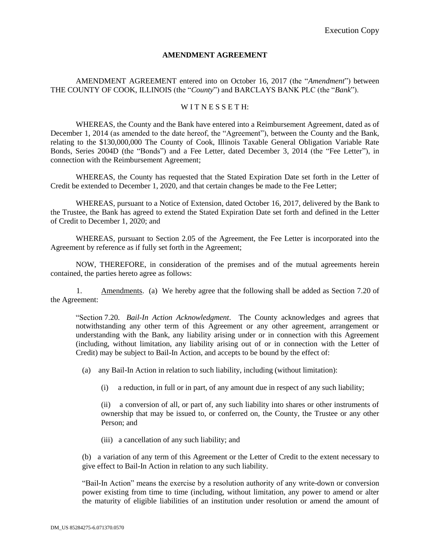## **AMENDMENT AGREEMENT**

AMENDMENT AGREEMENT entered into on October 16, 2017 (the "*Amendment*") between THE COUNTY OF COOK, ILLINOIS (the "*County*") and BARCLAYS BANK PLC (the "*Bank*").

## WITNESSETH:

WHEREAS, the County and the Bank have entered into a Reimbursement Agreement, dated as of December 1, 2014 (as amended to the date hereof, the "Agreement"), between the County and the Bank, relating to the \$130,000,000 The County of Cook, Illinois Taxable General Obligation Variable Rate Bonds, Series 2004D (the "Bonds") and a Fee Letter, dated December 3, 2014 (the "Fee Letter"), in connection with the Reimbursement Agreement;

WHEREAS, the County has requested that the Stated Expiration Date set forth in the Letter of Credit be extended to December 1, 2020, and that certain changes be made to the Fee Letter;

WHEREAS, pursuant to a Notice of Extension, dated October 16, 2017, delivered by the Bank to the Trustee, the Bank has agreed to extend the Stated Expiration Date set forth and defined in the Letter of Credit to December 1, 2020; and

WHEREAS, pursuant to Section 2.05 of the Agreement, the Fee Letter is incorporated into the Agreement by reference as if fully set forth in the Agreement;

NOW, THEREFORE, in consideration of the premises and of the mutual agreements herein contained, the parties hereto agree as follows:

1. Amendments. (a) We hereby agree that the following shall be added as Section 7.20 of the Agreement:

"Section 7.20. *Bail-In Action Acknowledgment*. The County acknowledges and agrees that notwithstanding any other term of this Agreement or any other agreement, arrangement or understanding with the Bank, any liability arising under or in connection with this Agreement (including, without limitation, any liability arising out of or in connection with the Letter of Credit) may be subject to Bail-In Action, and accepts to be bound by the effect of:

(a) any Bail-In Action in relation to such liability, including (without limitation):

(i) a reduction, in full or in part, of any amount due in respect of any such liability;

(ii) a conversion of all, or part of, any such liability into shares or other instruments of ownership that may be issued to, or conferred on, the County, the Trustee or any other Person; and

(iii) a cancellation of any such liability; and

(b) a variation of any term of this Agreement or the Letter of Credit to the extent necessary to give effect to Bail-In Action in relation to any such liability.

"Bail-In Action" means the exercise by a resolution authority of any write-down or conversion power existing from time to time (including, without limitation, any power to amend or alter the maturity of eligible liabilities of an institution under resolution or amend the amount of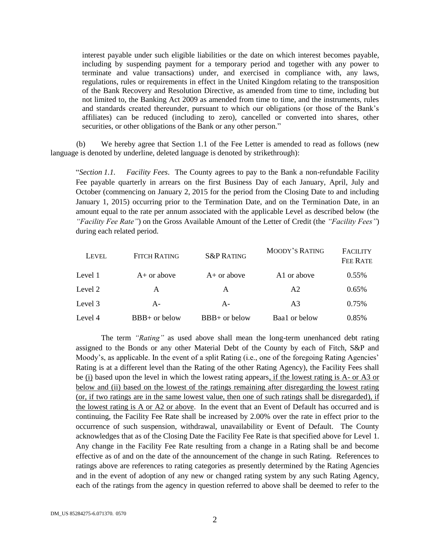interest payable under such eligible liabilities or the date on which interest becomes payable, including by suspending payment for a temporary period and together with any power to terminate and value transactions) under, and exercised in compliance with, any laws, regulations, rules or requirements in effect in the United Kingdom relating to the transposition of the Bank Recovery and Resolution Directive, as amended from time to time, including but not limited to, the Banking Act 2009 as amended from time to time, and the instruments, rules and standards created thereunder, pursuant to which our obligations (or those of the Bank's affiliates) can be reduced (including to zero), cancelled or converted into shares, other securities, or other obligations of the Bank or any other person."

(b) We hereby agree that Section 1.1 of the Fee Letter is amended to read as follows (new language is denoted by underline, deleted language is denoted by strikethrough):

"*Section 1.1. Facility Fees*. The County agrees to pay to the Bank a non-refundable Facility Fee payable quarterly in arrears on the first Business Day of each January, April, July and October (commencing on January 2, 2015 for the period from the Closing Date to and including January 1, 2015) occurring prior to the Termination Date, and on the Termination Date, in an amount equal to the rate per annum associated with the applicable Level as described below (the *"Facility Fee Rate"*) on the Gross Available Amount of the Letter of Credit (the *"Facility Fees"*) during each related period.

| <b>LEVEL</b> | <b>FITCH RATING</b> | <b>S&amp;P RATING</b> | <b>MOODY'S RATING</b>   | <b>FACILITY</b><br>FEE RATE |
|--------------|---------------------|-----------------------|-------------------------|-----------------------------|
| Level 1      | $A+$ or above       | $A+$ or above         | A <sub>1</sub> or above | $0.55\%$                    |
| Level 2      | A                   | A                     | A <sub>2</sub>          | 0.65%                       |
| Level 3      | $A -$               | $A -$                 | A <sub>3</sub>          | 0.75%                       |
| Level 4      | $BBB+$ or below     | $BBB+$ or below       | Baa1 or below           | 0.85%                       |

The term *"Rating"* as used above shall mean the long-term unenhanced debt rating assigned to the Bonds or any other Material Debt of the County by each of Fitch, S&P and Moody's, as applicable. In the event of a split Rating (i.e., one of the foregoing Rating Agencies' Rating is at a different level than the Rating of the other Rating Agency), the Facility Fees shall be (i) based upon the level in which the lowest rating appears, if the lowest rating is A- or A3 or below and (ii) based on the lowest of the ratings remaining after disregarding the lowest rating (or, if two ratings are in the same lowest value, then one of such ratings shall be disregarded), if the lowest rating is A or A2 or above. In the event that an Event of Default has occurred and is continuing, the Facility Fee Rate shall be increased by 2.00% over the rate in effect prior to the occurrence of such suspension, withdrawal, unavailability or Event of Default. The County acknowledges that as of the Closing Date the Facility Fee Rate is that specified above for Level 1. Any change in the Facility Fee Rate resulting from a change in a Rating shall be and become effective as of and on the date of the announcement of the change in such Rating. References to ratings above are references to rating categories as presently determined by the Rating Agencies and in the event of adoption of any new or changed rating system by any such Rating Agency, each of the ratings from the agency in question referred to above shall be deemed to refer to the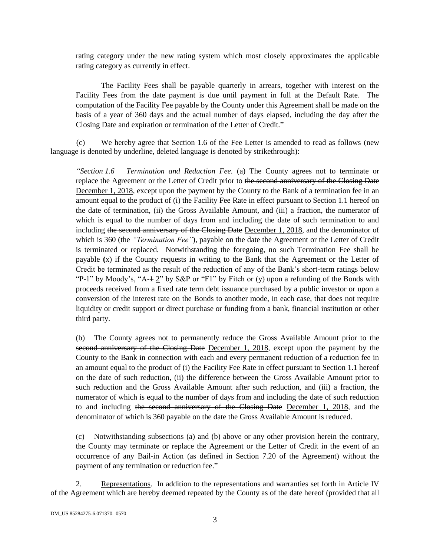rating category under the new rating system which most closely approximates the applicable rating category as currently in effect.

The Facility Fees shall be payable quarterly in arrears, together with interest on the Facility Fees from the date payment is due until payment in full at the Default Rate. The computation of the Facility Fee payable by the County under this Agreement shall be made on the basis of a year of 360 days and the actual number of days elapsed, including the day after the Closing Date and expiration or termination of the Letter of Credit."

(c) We hereby agree that Section 1.6 of the Fee Letter is amended to read as follows (new language is denoted by underline, deleted language is denoted by strikethrough):

*"Section 1.6 Termination and Reduction Fee.* (a) The County agrees not to terminate or replace the Agreement or the Letter of Credit prior to the second anniversary of the Closing Date December 1, 2018, except upon the payment by the County to the Bank of a termination fee in an amount equal to the product of (i) the Facility Fee Rate in effect pursuant to Section 1.1 hereof on the date of termination, (ii) the Gross Available Amount, and (iii) a fraction, the numerator of which is equal to the number of days from and including the date of such termination to and including the second anniversary of the Closing Date December 1, 2018, and the denominator of which is 360 (the *"Termination Fee"*), payable on the date the Agreement or the Letter of Credit is terminated or replaced. Notwithstanding the foregoing, no such Termination Fee shall be payable **(**x) if the County requests in writing to the Bank that the Agreement or the Letter of Credit be terminated as the result of the reduction of any of the Bank's short-term ratings below "P-1" by Moody's, "A- $\pm$  2" by S&P or "F1" by Fitch or (y) upon a refunding of the Bonds with proceeds received from a fixed rate term debt issuance purchased by a public investor or upon a conversion of the interest rate on the Bonds to another mode, in each case, that does not require liquidity or credit support or direct purchase or funding from a bank, financial institution or other third party.

(b) The County agrees not to permanently reduce the Gross Available Amount prior to the second anniversary of the Closing Date December 1, 2018, except upon the payment by the County to the Bank in connection with each and every permanent reduction of a reduction fee in an amount equal to the product of (i) the Facility Fee Rate in effect pursuant to Section 1.1 hereof on the date of such reduction, (ii) the difference between the Gross Available Amount prior to such reduction and the Gross Available Amount after such reduction, and (iii) a fraction, the numerator of which is equal to the number of days from and including the date of such reduction to and including the second anniversary of the Closing Date December 1, 2018, and the denominator of which is 360 payable on the date the Gross Available Amount is reduced.

(c) Notwithstanding subsections (a) and (b) above or any other provision herein the contrary, the County may terminate or replace the Agreement or the Letter of Credit in the event of an occurrence of any Bail-in Action (as defined in Section 7.20 of the Agreement) without the payment of any termination or reduction fee."

2. Representations. In addition to the representations and warranties set forth in Article IV of the Agreement which are hereby deemed repeated by the County as of the date hereof (provided that all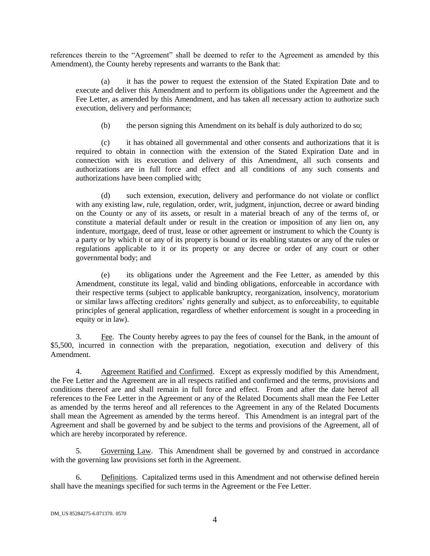references therein to the "Agreement" shall be deemed to refer to the Agreement as amended by this Amendment), the County hereby represents and warrants to the Bank that:

(a) it has the power to request the extension of the Stated Expiration Date and to execute and deliver this Amendment and to perform its obligations under the Agreement and the Fee Letter, as amended by this Amendment, and has taken all necessary action to authorize such execution, delivery and performance;

(b) the person signing this Amendment on its behalf is duly authorized to do so;

(c) it has obtained all governmental and other consents and authorizations that it is required to obtain in connection with the extension of the Stated Expiration Date and in connection with its execution and delivery of this Amendment, all such consents and authorizations are in full force and effect and all conditions of any such consents and authorizations have been complied with;

(d) such extension, execution, delivery and performance do not violate or conflict with any existing law, rule, regulation, order, writ, judgment, injunction, decree or award binding on the County or any of its assets, or result in a material breach of any of the terms of, or constitute a material default under or result in the creation or imposition of any lien on, any indenture, mortgage, deed of trust, lease or other agreement or instrument to which the County is a party or by which it or any of its property is bound or its enabling statutes or any of the rules or regulations applicable to it or its property or any decree or order of any court or other governmental body; and

(e) its obligations under the Agreement and the Fee Letter, as amended by this Amendment, constitute its legal, valid and binding obligations, enforceable in accordance with their respective terms (subject to applicable bankruptcy, reorganization, insolvency, moratorium or similar laws affecting creditors' rights generally and subject, as to enforceability, to equitable principles of general application, regardless of whether enforcement is sought in a proceeding in equity or in law).

3. Fee. The County hereby agrees to pay the fees of counsel for the Bank, in the amount of \$5,500, incurred in connection with the preparation, negotiation, execution and delivery of this Amendment.

4. Agreement Ratified and Confirmed. Except as expressly modified by this Amendment, the Fee Letter and the Agreement are in all respects ratified and confirmed and the terms, provisions and conditions thereof are and shall remain in full force and effect. From and after the date hereof all references to the Fee Letter in the Agreement or any of the Related Documents shall mean the Fee Letter as amended by the terms hereof and all references to the Agreement in any of the Related Documents shall mean the Agreement as amended by the terms hereof. This Amendment is an integral part of the Agreement and shall be governed by and be subject to the terms and provisions of the Agreement, all of which are hereby incorporated by reference.

5. Governing Law. This Amendment shall be governed by and construed in accordance with the governing law provisions set forth in the Agreement.

6. Definitions. Capitalized terms used in this Amendment and not otherwise defined herein shall have the meanings specified for such terms in the Agreement or the Fee Letter.